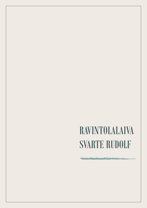# RAVINTOLALAIVA SVARTE RUDOLF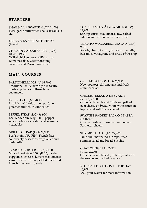# **STARTERS**

SNAILS Á LA SVARTE (L,G\*) 11,50€ Herb-garlic butter fried snails, bread á la ship

BREAD Á LA SHIP WITH PESTO (L) 6,90€

CHICKEN-CAESAR SALAD (L,G\*) 10,90€/19,90€ Grilled chicken breast (FIN) crispy Romaine salad, Caesar dressing, croutons and Parmesan cheese

#### TOAST SKAGEN Á LA SVARTE (L,G\*) 12,90€

Shrimp-citrus mayonnaise, raw-salted salmon and red onion on dark bread

TOMATO-MOZZARELLA SALAD (L,G\*) 9,50€ Rucola, cherry tomato, Bufala mozzarella,

balsamico vinaigrette and bread of the ship

### **MAIN COURSES**

BALTIC HERRINGS (L)  $16,90 \in$ Traditional Baltic herrings á la Svarte, mashed potatoes, dill-smetana, cucumbers

FRIED FISH (L,G)  $28,90 \in$ Fried fish of the day , pea puré, new potatoes and white wine sauce

PEPPER STEAK (L,G) 36,90€ Beef tenderloin 175g (FIN), pepper sauce, potatoes á la ship and season´s vegetables

GRILLED STEAK (L,G) 27,90€ Beef sirloin 175g(FIN), French fries country style, season´s vegetables and herb butter

SVARTE´S BURGER (L,G\*) 21,90€ Minced beef steak 150g (FIN), pickle, Pepperjack-cheese, kimchi mayonnaise, glazed bacon, rucola, pickled onion and French fries country style

GRILLED SALMON L,G) 26,90€ New potatoes, dill smetana and fresh summer salad

CHICKEN BREAD Á LA SVARTE (VL,G\*) 22,90€ Grilled chicken breast (FIN) and grilled goat cheese on bread, white wine sauce on top, served with Caesar salad

SVARTE´S SMOKED SALMON PASTA (L) 18,90€ Creamy pasta with smoked salmon and Parmesan cheese

SHRIMP SALAD (L,G\*) 22,90€ Lime-chili marinated shrimps, fresh summer salad and bread á la ship

GOAT CHEESE CHICKEN (VL,G)22,90€ Grilled chicken breast,(FIN), vegetables of the season and red wine sauce

VEGETABLE PORTION OF THE DAY 16,90€ Ask your waiter for more information!!